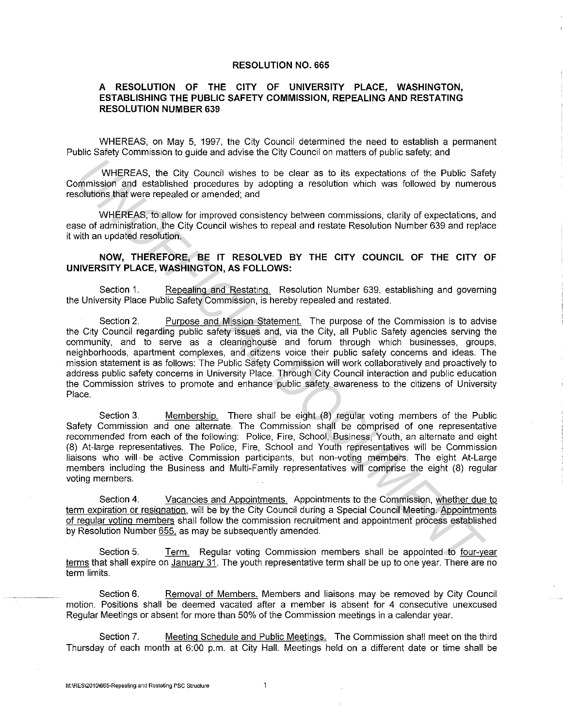## RESOLUTION NO. 665

## A RESOLUTION OF THE CITY OF UNIVERSITY PLACE, WASHINGTON, ESTABLISHING THE PUBLIC SAFETY COMMISSION, REPEALING AND RESTATING RESOLUTION NUMBER 639

WHEREAS, on May 5, 1997, the City Council determined the need to establish a permanent Public Safety Commission to guide and advise the City Council on matters of public safety; and

WHEREAS, the City Council wishes to be clear as to its expectations of the Public Safety Commission and established procedures by adopting a resolution which was followed by numerous resolutions that were repealed or amended; and

WHEREAS, to allow for improved consistency between commissions, clarity of expectations, and ease of administration, the City Council wishes to repeal and restate Resolution Number 639 and replace it with an updated resolution.

## NOW, THEREFORE, BE IT RESOLVED BY THE CITY COUNCIL OF THE CITY OF UNIVERSITY PLACE, WASHINGTON, AS FOLLOWS:

Section 1. Repealing and Restating. Resolution Number 639, establishing and governing the University Place Public Safety Commission, is hereby repealed and restated.

Section 2. Purpose and Mission Statement. The purpose of the Commission is to advise the City Council regarding public safety issues and, via the City, all Public Safety agencies serving the community, and to serve as a clearinghouse and forum through which businesses, groups, neighborhoods, apartment complexes, and citizens voice their public safety concerns and ideas. The mission statement is as follows: The Public Safety Commission will work collaboratively and proactively to address public safety concerns in University Place. Through City Council interaction and public education the Commission strives to promote and enhance public safety awareness to the citizens of University Place. WHEREAS, the City Council wishes to be olear as to its expectations of the Public Safe<br>
Solutions and established procedures by adopting a resolution which was followed by numero<br>
Solutions hall verte repeated or anemoted;

Section 3. Membership. There shall be eight (8) regular voting members of the Public Safety Commission and one alternate. The Commission shall be comprised of one representative recommended from each of the following: Police, Fire, School, Business, Youth, an alternate and eight (8) At-large representatives. The Police, Fire, School and Youth representatives will be Commission liaisons who will· be active Commission participants, but non-voting members. The eight At-Large members including the Business and Multi-Family representatives will comprise the eight (8) regular voting members.

Section 4. Vacancies and Appointments. Appointments to the Commission, whether due to term expiration or resignation, will be by the City Council during a Special Council Meeting. Appointments of regular voting members shall follow the commission recruitment and appointment process established by Resolution Number 655, as may be subsequently amended.

Section 5. Term. Regular voting Commission members shall be appointed to four-year terms that shall expire on January 31. The youth representative term shall be up to one year. There are no term limits.

Section 6. Removal of Members. Members and liaisons may be removed by City Council motion. Positions shall be deemed vacated after a member is absent for 4 consecutive unexcused Regular Meetings or absent for more than 50% of the Commission meetings in a calendar year.

Section 7. Meeting Schedule and Public Meetings. The Commission shall meet on the third Thursday of each month at 6:00 p.m. at City Hall. Meetings held on a different date or time shall be